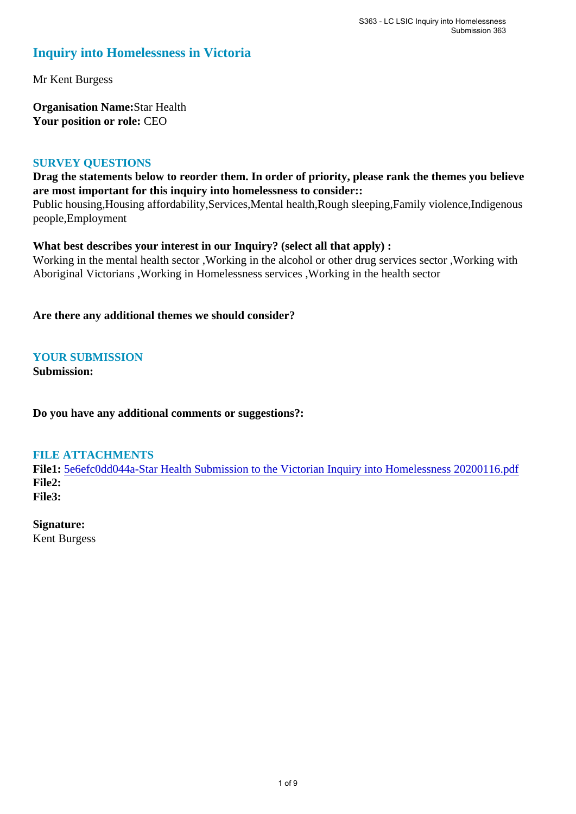## **Inquiry into Homelessness in Victoria**

Mr Kent Burgess

**Organisation Name:**Star Health **Your position or role:** CEO

## **SURVEY QUESTIONS**

## **Drag the statements below to reorder them. In order of priority, please rank the themes you believe are most important for this inquiry into homelessness to consider::**

Public housing,Housing affordability,Services,Mental health,Rough sleeping,Family violence,Indigenous people,Employment

## **What best describes your interest in our Inquiry? (select all that apply) :**

Working in the mental health sector ,Working in the alcohol or other drug services sector ,Working with Aboriginal Victorians ,Working in Homelessness services ,Working in the health sector

**Are there any additional themes we should consider?**

## **YOUR SUBMISSION**

**Submission:** 

**Do you have any additional comments or suggestions?:** 

## **FILE ATTACHMENTS**

**File1:** [5e6efc0dd044a-Star Health Submission to the Victorian Inquiry into Homelessness 20200116.pdf](https://www.parliament.vic.gov.au/component/rsform/submission-view-file/c66fc06863ce664e57721dbfe2c4e00e/b6c38df689309e4322c9e2a0a66b3b8a?Itemid=527) **File2: File3:** 

## **Signature:**

Kent Burgess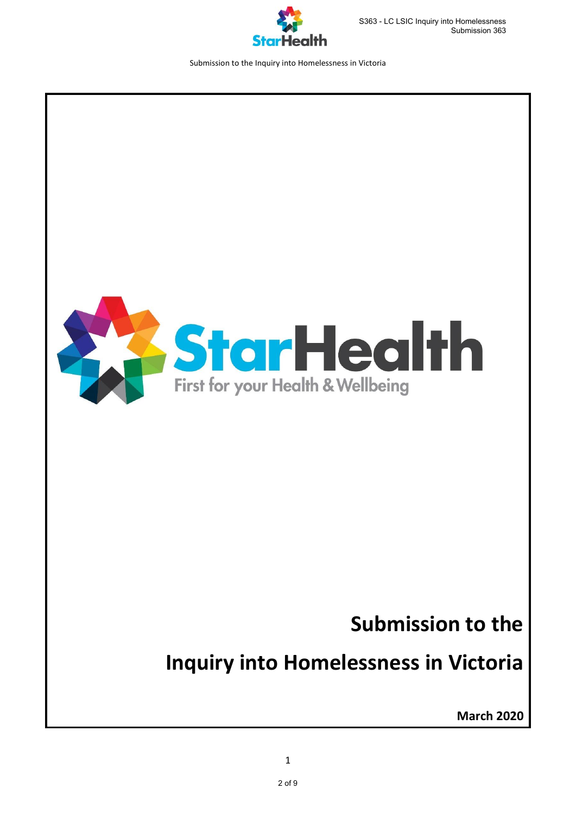



## **Submission to the**

# **Inquiry into Homelessness in Victoria**

**March 2020**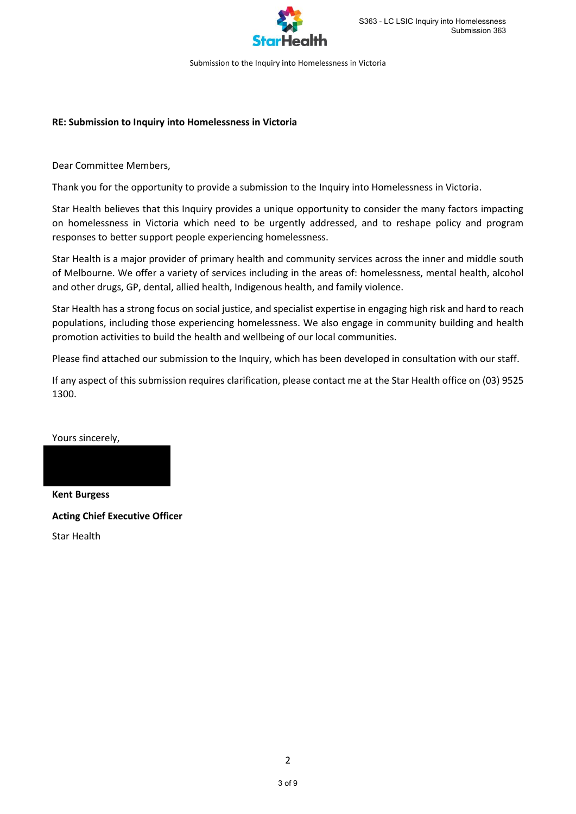

#### **RE: Submission to Inquiry into Homelessness in Victoria**

Dear Committee Members,

Thank you for the opportunity to provide a submission to the Inquiry into Homelessness in Victoria.

Star Health believes that this Inquiry provides a unique opportunity to consider the many factors impacting on homelessness in Victoria which need to be urgently addressed, and to reshape policy and program responses to better support people experiencing homelessness.

Star Health is a major provider of primary health and community services across the inner and middle south of Melbourne. We offer a variety of services including in the areas of: homelessness, mental health, alcohol and other drugs, GP, dental, allied health, Indigenous health, and family violence.

Star Health has a strong focus on social justice, and specialist expertise in engaging high risk and hard to reach populations, including those experiencing homelessness. We also engage in community building and health promotion activities to build the health and wellbeing of our local communities.

Please find attached our submission to the Inquiry, which has been developed in consultation with our staff.

If any aspect of this submission requires clarification, please contact me at the Star Health office on (03) 9525 1300.

Yours sincerely,

**Kent Burgess Acting Chief Executive Officer** Star Health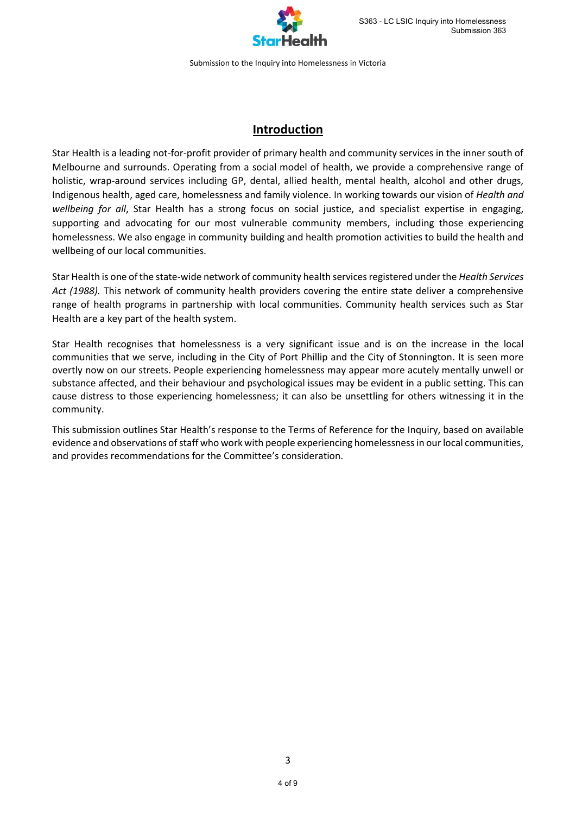

## **Introduction**

Star Health is a leading not-for-profit provider of primary health and community services in the inner south of Melbourne and surrounds. Operating from a social model of health, we provide a comprehensive range of holistic, wrap-around services including GP, dental, allied health, mental health, alcohol and other drugs, Indigenous health, aged care, homelessness and family violence. In working towards our vision of *Health and wellbeing for all*, Star Health has a strong focus on social justice, and specialist expertise in engaging, supporting and advocating for our most vulnerable community members, including those experiencing homelessness. We also engage in community building and health promotion activities to build the health and wellbeing of our local communities.

Star Health is one of the state-wide network of community health services registered under the *Health Services Act (1988).* This network of community health providers covering the entire state deliver a comprehensive range of health programs in partnership with local communities. Community health services such as Star Health are a key part of the health system.

Star Health recognises that homelessness is a very significant issue and is on the increase in the local communities that we serve, including in the City of Port Phillip and the City of Stonnington. It is seen more overtly now on our streets. People experiencing homelessness may appear more acutely mentally unwell or substance affected, and their behaviour and psychological issues may be evident in a public setting. This can cause distress to those experiencing homelessness; it can also be unsettling for others witnessing it in the community.

This submission outlines Star Health's response to the Terms of Reference for the Inquiry, based on available evidence and observations of staff who work with people experiencing homelessness in our local communities, and provides recommendations for the Committee's consideration.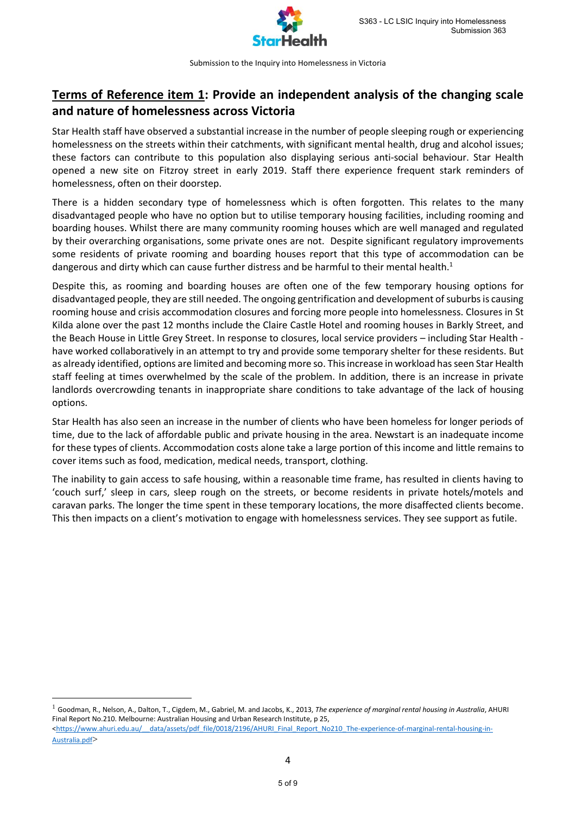

## **Terms of Reference item 1: Provide an independent analysis of the changing scale and nature of homelessness across Victoria**

Star Health staff have observed a substantial increase in the number of people sleeping rough or experiencing homelessness on the streets within their catchments, with significant mental health, drug and alcohol issues; these factors can contribute to this population also displaying serious anti-social behaviour. Star Health opened a new site on Fitzroy street in early 2019. Staff there experience frequent stark reminders of homelessness, often on their doorstep.

There is a hidden secondary type of homelessness which is often forgotten. This relates to the many disadvantaged people who have no option but to utilise temporary housing facilities, including rooming and boarding houses. Whilst there are many community rooming houses which are well managed and regulated by their overarching organisations, some private ones are not. Despite significant regulatory improvements some residents of private rooming and boarding houses report that this type of accommodation can be dangerous and dirty which can cause further distress and be harmful to their mental health.<sup>1</sup>

Despite this, as rooming and boarding houses are often one of the few temporary housing options for disadvantaged people, they are still needed. The ongoing gentrification and development of suburbs is causing rooming house and crisis accommodation closures and forcing more people into homelessness. Closures in St Kilda alone over the past 12 months include the Claire Castle Hotel and rooming houses in Barkly Street, and the Beach House in Little Grey Street. In response to closures, local service providers – including Star Health have worked collaboratively in an attempt to try and provide some temporary shelter for these residents. But as already identified, options are limited and becoming more so. This increase in workload has seen Star Health staff feeling at times overwhelmed by the scale of the problem. In addition, there is an increase in private landlords overcrowding tenants in inappropriate share conditions to take advantage of the lack of housing options.

Star Health has also seen an increase in the number of clients who have been homeless for longer periods of time, due to the lack of affordable public and private housing in the area. Newstart is an inadequate income for these types of clients. Accommodation costs alone take a large portion of this income and little remains to cover items such as food, medication, medical needs, transport, clothing.

The inability to gain access to safe housing, within a reasonable time frame, has resulted in clients having to 'couch surf,' sleep in cars, sleep rough on the streets, or become residents in private hotels/motels and caravan parks. The longer the time spent in these temporary locations, the more disaffected clients become. This then impacts on a client's motivation to engage with homelessness services. They see support as futile.

<sup>1</sup> Goodman, R., Nelson, A., Dalton, T., Cigdem, M., Gabriel, M. and Jacobs, K., 2013, *The experience of marginal rental housing in Australia*, AHURI Final Report No.210. Melbourne: Australian Housing and Urban Research Institute, p 25, <https://www.ahuri.edu.au/ data/assets/pdf\_file/0018/2196/AHURI\_Final\_Report\_No210\_The-experience-of-marginal-rental-housing-in-

**.** 

[Australia.pdf](https://www.ahuri.edu.au/__data/assets/pdf_file/0018/2196/AHURI_Final_Report_No210_The-experience-of-marginal-rental-housing-in-Australia.pdf)>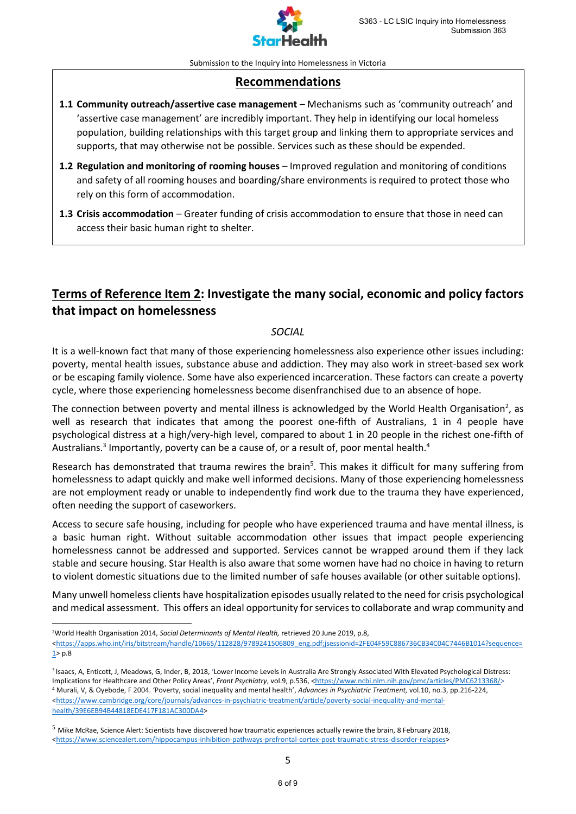

## **Recommendations**

- **1.1 Community outreach/assertive case management** Mechanisms such as 'community outreach' and 'assertive case management' are incredibly important. They help in identifying our local homeless population, building relationships with this target group and linking them to appropriate services and supports, that may otherwise not be possible. Services such as these should be expended.
- **1.2 Regulation and monitoring of rooming houses** Improved regulation and monitoring of conditions and safety of all rooming houses and boarding/share environments is required to protect those who rely on this form of accommodation.
- **1.3 Crisis accommodation** Greater funding of crisis accommodation to ensure that those in need can access their basic human right to shelter.

## **Terms of Reference Item 2: Investigate the many social, economic and policy factors that impact on homelessness**

#### *SOCIAL*

It is a well-known fact that many of those experiencing homelessness also experience other issues including: poverty, mental health issues, substance abuse and addiction. They may also work in street-based sex work or be escaping family violence. Some have also experienced incarceration. These factors can create a poverty cycle, where those experiencing homelessness become disenfranchised due to an absence of hope.

The connection between poverty and mental illness is acknowledged by the World Health Organisation<sup>2</sup>, as well as research that indicates that among the poorest one-fifth of Australians, 1 in 4 people have psychological distress at a high/very-high level, compared to about 1 in 20 people in the richest one-fifth of Australians.<sup>3</sup> Importantly, poverty can be a cause of, or a result of, poor mental health.<sup>4</sup>

Research has demonstrated that trauma rewires the brain<sup>5</sup>. This makes it difficult for many suffering from homelessness to adapt quickly and make well informed decisions. Many of those experiencing homelessness are not employment ready or unable to independently find work due to the trauma they have experienced, often needing the support of caseworkers.

Access to secure safe housing, including for people who have experienced trauma and have mental illness, is a basic human right. Without suitable accommodation other issues that impact people experiencing homelessness cannot be addressed and supported. Services cannot be wrapped around them if they lack stable and secure housing. Star Health is also aware that some women have had no choice in having to return to violent domestic situations due to the limited number of safe houses available (or other suitable options).

Many unwell homeless clients have hospitalization episodes usually related to the need for crisis psychological and medical assessment. This offers an ideal opportunity for services to collaborate and wrap community and

<sup>2</sup>World Health Organisation 2014, *Social Determinants of Mental Health,* retrieved 20 June 2019, p.8,

 $\overline{a}$ 

[<https://apps.who.int/iris/bitstream/handle/10665/112828/9789241506809\\_eng.pdf;jsessionid=2FE04F59C886736CB34C04C7446B1014?sequence=](https://apps.who.int/iris/bitstream/handle/10665/112828/9789241506809_eng.pdf;jsessionid=2FE04F59C886736CB34C04C7446B1014?sequence=1)  $1$  p.8

3 Isaacs, A, Enticott, J, Meadows, G, Inder, B, 2018, 'Lower Income Levels in Australia Are Strongly Associated With Elevated Psychological Distress: Implications for Healthcare and Other Policy Areas', *Front Psychiatry*, vol.9, p.536, [<https://www.ncbi.nlm.nih.gov/pmc/articles/PMC6213368/>](https://www.ncbi.nlm.nih.gov/pmc/articles/PMC6213368/) <sup>4</sup> Murali, V, & Oyebode, F 2004. 'Poverty, social inequality and mental health', *Advances in Psychiatric Treatment,* vol.10, no*.*3, pp.216-224, [<https://www.cambridge.org/core/journals/advances-in-psychiatric-treatment/article/poverty-social-inequality-and-mental](https://www.cambridge.org/core/journals/advances-in-psychiatric-treatment/article/poverty-social-inequality-and-mental-health/39E6EB94B44818EDE417F181AC300DA4)[health/39E6EB94B44818EDE417F181AC300DA4>](https://www.cambridge.org/core/journals/advances-in-psychiatric-treatment/article/poverty-social-inequality-and-mental-health/39E6EB94B44818EDE417F181AC300DA4)

 $5$  Mike McRae, Science Alert: Scientists have discovered how traumatic experiences actually rewire the brain, 8 February 2018, [<https://www.sciencealert.com/hippocampus-inhibition-pathways-prefrontal-cortex-post-traumatic-stress-disorder-relapses>](https://www.sciencealert.com/hippocampus-inhibition-pathways-prefrontal-cortex-post-traumatic-stress-disorder-relapses)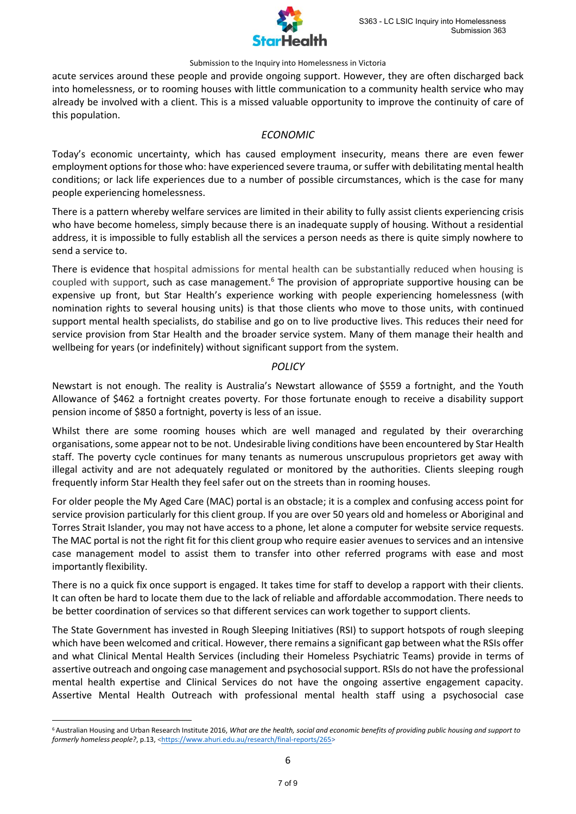

acute services around these people and provide ongoing support. However, they are often discharged back into homelessness, or to rooming houses with little communication to a community health service who may already be involved with a client. This is a missed valuable opportunity to improve the continuity of care of this population.

#### *ECONOMIC*

Today's economic uncertainty, which has caused employment insecurity, means there are even fewer employment options for those who: have experienced severe trauma, or suffer with debilitating mental health conditions; or lack life experiences due to a number of possible circumstances, which is the case for many people experiencing homelessness.

There is a pattern whereby welfare services are limited in their ability to fully assist clients experiencing crisis who have become homeless, simply because there is an inadequate supply of housing. Without a residential address, it is impossible to fully establish all the services a person needs as there is quite simply nowhere to send a service to.

There is evidence that hospital admissions for mental health can be substantially reduced when housing is coupled with support, such as case management.<sup>6</sup> The provision of appropriate supportive housing can be expensive up front, but Star Health's experience working with people experiencing homelessness (with nomination rights to several housing units) is that those clients who move to those units, with continued support mental health specialists, do stabilise and go on to live productive lives. This reduces their need for service provision from Star Health and the broader service system. Many of them manage their health and wellbeing for years (or indefinitely) without significant support from the system.

#### *POLICY*

Newstart is not enough. The reality is Australia's Newstart allowance of \$559 a fortnight, and the Youth Allowance of \$462 a fortnight creates poverty. For those fortunate enough to receive a disability support pension income of \$850 a fortnight, poverty is less of an issue.

Whilst there are some rooming houses which are well managed and regulated by their overarching organisations, some appear not to be not. Undesirable living conditions have been encountered by Star Health staff. The poverty cycle continues for many tenants as numerous unscrupulous proprietors get away with illegal activity and are not adequately regulated or monitored by the authorities. Clients sleeping rough frequently inform Star Health they feel safer out on the streets than in rooming houses.

For older people the My Aged Care (MAC) portal is an obstacle; it is a complex and confusing access point for service provision particularly for this client group. If you are over 50 years old and homeless or Aboriginal and Torres Strait Islander, you may not have access to a phone, let alone a computer for website service requests. The MAC portal is not the right fit for this client group who require easier avenues to services and an intensive case management model to assist them to transfer into other referred programs with ease and most importantly flexibility.

There is no a quick fix once support is engaged. It takes time for staff to develop a rapport with their clients. It can often be hard to locate them due to the lack of reliable and affordable accommodation. There needs to be better coordination of services so that different services can work together to support clients.

The State Government has invested in Rough Sleeping Initiatives (RSI) to support hotspots of rough sleeping which have been welcomed and critical. However, there remains a significant gap between what the RSIs offer and what Clinical Mental Health Services (including their Homeless Psychiatric Teams) provide in terms of assertive outreach and ongoing case management and psychosocial support. RSIs do not have the professional mental health expertise and Clinical Services do not have the ongoing assertive engagement capacity. Assertive Mental Health Outreach with professional mental health staff using a psychosocial case

<sup>6</sup> Australian Housing and Urban Research Institute 2016, *What are the health, social and economic benefits of providing public housing and support to*  formerly homeless people?, p.13, [<https://www.ahuri.edu.au/research/final-reports/265>](https://www.ahuri.edu.au/research/final-reports/265)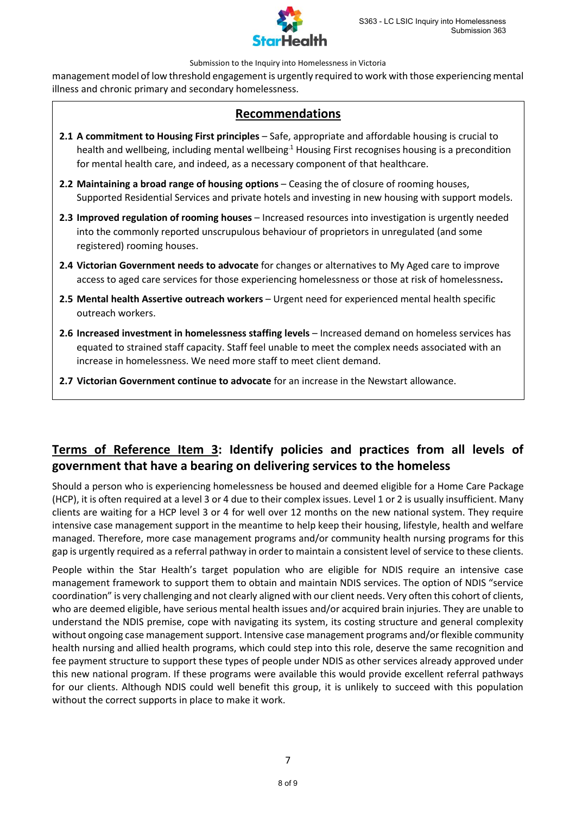

management model of low threshold engagement is urgently required to work with those experiencing mental illness and chronic primary and secondary homelessness.

## **Recommendations**

- **2.1 A commitment to Housing First principles** Safe, appropriate and affordable housing is crucial to health and wellbeing, including mental wellbeing.<sup>1</sup> Housing First recognises housing is a precondition for mental health care, and indeed, as a necessary component of that healthcare.
- **2.2 Maintaining a broad range of housing options** Ceasing the of closure of rooming houses, Supported Residential Services and private hotels and investing in new housing with support models.
- **2.3 Improved regulation of rooming houses** Increased resources into investigation is urgently needed into the commonly reported unscrupulous behaviour of proprietors in unregulated (and some registered) rooming houses.
- **2.4 Victorian Government needs to advocate** for changes or alternatives to My Aged care to improve access to aged care services for those experiencing homelessness or those at risk of homelessness**.**
- **2.5 Mental health Assertive outreach workers** Urgent need for experienced mental health specific outreach workers.
- **2.6 Increased investment in homelessness staffing levels** Increased demand on homeless services has equated to strained staff capacity. Staff feel unable to meet the complex needs associated with an increase in homelessness. We need more staff to meet client demand.
- **2.7 Victorian Government continue to advocate** for an increase in the Newstart allowance.

## **Terms of Reference Item 3: Identify policies and practices from all levels of government that have a bearing on delivering services to the homeless**

Should a person who is experiencing homelessness be housed and deemed eligible for a Home Care Package (HCP), it is often required at a level 3 or 4 due to their complex issues. Level 1 or 2 is usually insufficient. Many clients are waiting for a HCP level 3 or 4 for well over 12 months on the new national system. They require intensive case management support in the meantime to help keep their housing, lifestyle, health and welfare managed. Therefore, more case management programs and/or community health nursing programs for this gap is urgently required as a referral pathway in order to maintain a consistent level of service to these clients.

People within the Star Health's target population who are eligible for NDIS require an intensive case management framework to support them to obtain and maintain NDIS services. The option of NDIS "service coordination" is very challenging and not clearly aligned with our client needs. Very often this cohort of clients, who are deemed eligible, have serious mental health issues and/or acquired brain injuries. They are unable to understand the NDIS premise, cope with navigating its system, its costing structure and general complexity without ongoing case management support. Intensive case management programs and/or flexible community health nursing and allied health programs, which could step into this role, deserve the same recognition and fee payment structure to support these types of people under NDIS as other services already approved under this new national program. If these programs were available this would provide excellent referral pathways for our clients. Although NDIS could well benefit this group, it is unlikely to succeed with this population without the correct supports in place to make it work.